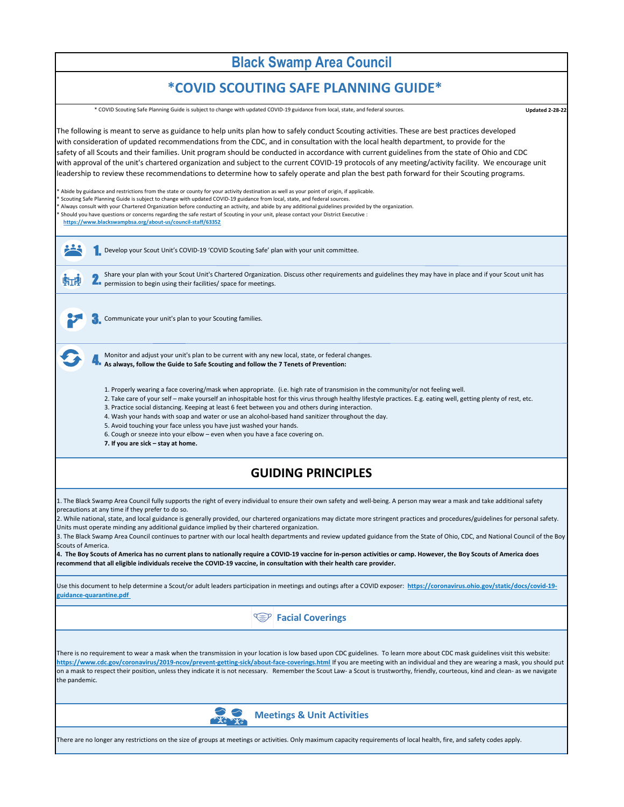**Updated 2-28-22**

### **Meetings & Unit Activities**

There are no longer any restrictions on the size of groups at meetings or activities. Only maximum capacity requirements of local health, fire, and safety codes apply.

The following is meant to serve as guidance to help units plan how to safely conduct Scouting activities. These are best practices developed with consideration of updated recommendations from the CDC, and in consultation with the local health department, to provide for the safety of all Scouts and their families. Unit program should be conducted in accordance with current guidelines from the state of Ohio and CDC with approval of the unit's chartered organization and subject to the current COVID-19 protocols of any meeting/activity facility. We encourage unit leadership to review these recommendations to determine how to safely operate and plan the best path forward for their Scouting programs.

\* Abide by guidance and restrictions from the state or county for your activity destination as well as your point of origin, if applicable. Scouting Safe Planning Guide is subject to change with updated COVID-19 guidance from local, state, and federal sources. \* Always consult with your Chartered Organization before conducting an activity, and abide by any additional guidelines provided by the organization. \* Should you have questions or concerns regarding the safe restart of Scouting in your unit, please contact your District Executive :  **https://www.blackswampbsa.org/about-us/council-staff/63352**

### **GUIDING PRINCIPLES**

1. The Black Swamp Area Council fully supports the right of every individual to ensure their own safety and well-being. A person may wear a mask and take additional safety precautions at any time if they prefer to do so.

2. While national, state, and local guidance is generally provided, our chartered organizations may dictate more stringent practices and procedures/guidelines for personal safety.

Units must operate minding any additional guidance implied by their chartered organization.

1. Develop your Scout Unit's COVID-19 'COVID Scouting Safe' plan with your unit committee.

**2.** Share your plan with your Scout Unit's Chartered Organization<br>permission to begin using their facilities/ space for meetings. Share your plan with your Scout Unit's Chartered Organization. Discuss other requirements and guidelines they may have in place and if your Scout unit has

3. The Black Swamp Area Council continues to partner with our local health departments and review updated guidance from the State of Ohio, CDC, and National Council of the Boy Scouts of America.

3. Communicate your unit's plan to your Scouting families.

临望

4. Monitor and adjust your unit's plan to be current with any new local, state, or federal changes.

**4. The Boy Scouts of America has no current plans to nationally require a COVID-19 vaccine for in-person activities or camp. However, the Boy Scouts of America does recommend that all eligible individuals receive the COVID-19 vaccine, in consultation with their health care provider.**

### **Facial Coverings**

There is no requirement to wear a mask when the transmission in your location is low based upon CDC guidelines. To learn more about CDC mask guidelines visit this website: **https://www.cdc.gov/coronavirus/2019-ncov/prevent-getting-sick/about-face-coverings.html** If you are meeting with an individual and they are wearing a mask, you should put on a mask to respect their position, unless they indicate it is not necessary. Remember the Scout Law- a Scout is trustworthy, friendly, courteous, kind and clean- as we navigate the pandemic.



1. Properly wearing a face covering/mask when appropriate. (i.e. high rate of transmision in the community/or not feeling well.

2. Take care of your self – make yourself an inhospitable host for this virus through healthy lifestyle practices. E.g. eating well, getting plenty of rest, etc.

3. Practice social distancing. Keeping at least 6 feet between you and others during interaction.

4. Wash your hands with soap and water or use an alcohol-based hand sanitizer throughout the day.

5. Avoid touching your face unless you have just washed your hands.

6. Cough or sneeze into your elbow – even when you have a face covering on.

**7. If you are sick – stay at home.**

Use this document to help determine a Scout/or adult leaders participation in meetings and outings after a COVID exposer: **https://coronavirus.ohio.gov/static/docs/covid-19 guidance-quarantine.pdf** 

# **Black Swamp Area Council**

## **\*COVID SCOUTING SAFE PLANNING GUIDE\***

**As always, follow the Guide to Safe Scouting and follow the 7 Tenets of Prevention:** 

\* COVID Scouting Safe Planning Guide is subject to change with updated COVID-19 guidance from local, state, and federal sources.